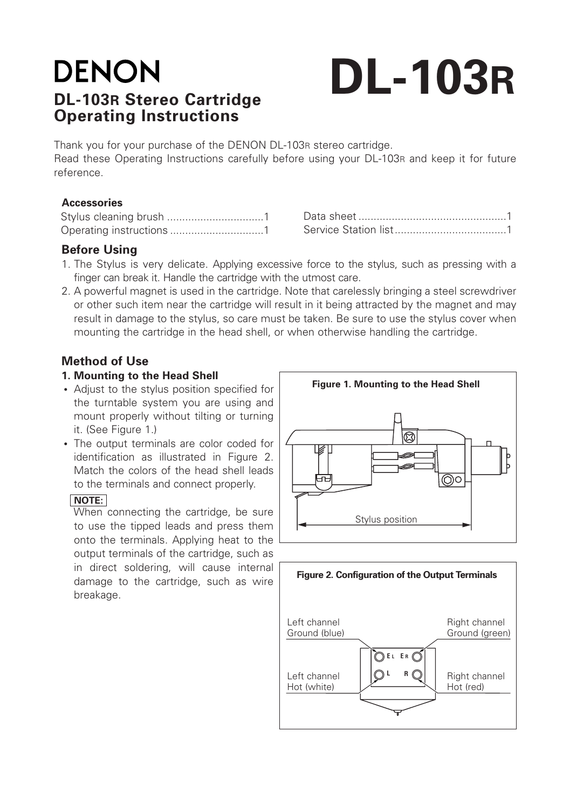# **DENON DL-103R Stereo Cartridge Operating Instructions**

# **DL-103R**

Thank you for your purchase of the DENON DL-103R stereo cartridge. Read these Operating Instructions carefully before using your DL-103R and keep it for future reference.

#### **Accessories**

### **Before Using**

- 1. The Stylus is very delicate. Applying excessive force to the stylus, such as pressing with a finger can break it. Handle the cartridge with the utmost care.
- 2. A powerful magnet is used in the cartridge. Note that carelessly bringing a steel screwdriver or other such item near the cartridge will result in it being attracted by the magnet and may result in damage to the stylus, so care must be taken. Be sure to use the stylus cover when mounting the cartridge in the head shell, or when otherwise handling the cartridge.

## **Method of Use**

#### **1. Mounting to the Head Shell**

- **•** Adjust to the stylus position specified for the turntable system you are using and mount properly without tilting or turning it. (See Figure 1.)
- **•** The output terminals are color coded for identification as illustrated in Figure 2. Match the colors of the head shell leads to the terminals and connect properly.

#### **NOTE:**

When connecting the cartridge, be sure to use the tipped leads and press them onto the terminals. Applying heat to the output terminals of the cartridge, such as in direct soldering, will cause internal damage to the cartridge, such as wire breakage.